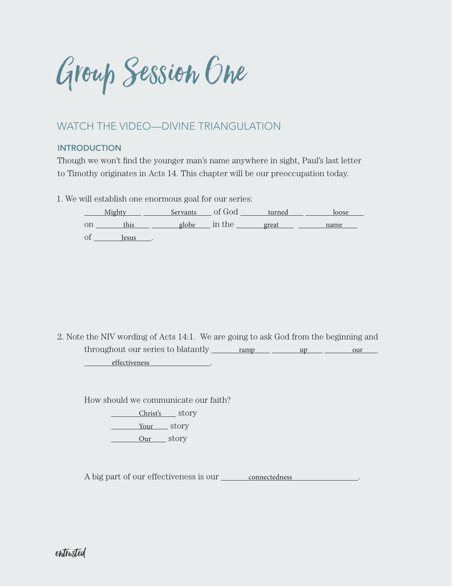Group Session One

## WATCH THE VIDEO—DIVINE TRIANGULATION

### **INTRODUCTION**

Though we won't find the younger man's name anywhere in sight, Paul's last letter to Timothy originates in Acts 14. This chapter will be our preoccupation today.

1. We will establish one enormous goal for our series:

Mighty Servants of God turned bose on this globe in the great name of Jesus .

2. Note the NIV wording of Acts 14:1. We are going to ask God from the beginning and throughout our series to blatantly ramp up up our our effectiveness .

How should we communicate our faith?

Christ's story Your story

Our story

A big part of our effectiveness is our connectedness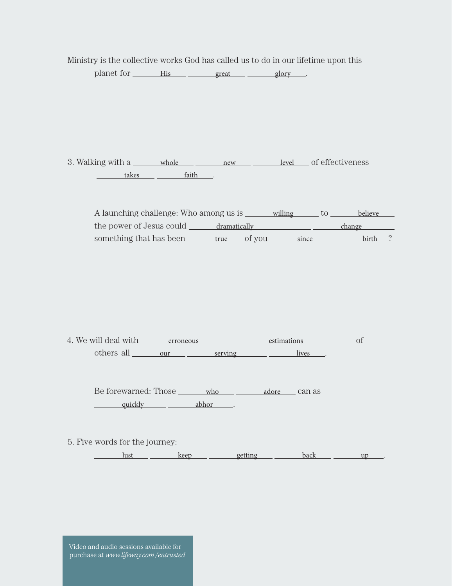Ministry is the collective works God has called us to do in our lifetime upon this

planet for His great glory .

3. Walking with a <u>whole new new level</u> of effectiveness  $\begin{tabular}{c} \multicolumn{2}{c|}{\textbf{takes}}\\ \end{tabular} \begin{tabular}{c} \multicolumn{2}{c|}{\textbf{leakes}}\\ \end{tabular} \begin{tabular}{c} \multicolumn{2}{c|}{\textbf{leakes}}\\ \end{tabular} \begin{tabular}{c} \multicolumn{2}{c|}{\textbf{leakes}}\\ \end{tabular} \end{tabular} \begin{tabular}{c} \multicolumn{2}{c|}{\textbf{leakes}}\\ \end{tabular} \begin{tabular}{c} \multicolumn{2}{c|}{\textbf{leakes}}\\ \end{tabular} \begin{tabular}{c} \multicolumn{2}{c|}{$ 

| A launching challenge: Who among us is |                | willing | believe |  |
|----------------------------------------|----------------|---------|---------|--|
| the power of Jesus could               | dramatically   |         | change  |  |
| something that has been                | of you<br>true | since   | birth   |  |

4. We will deal with <u>erroneous estimations</u> of others all <u>our serving serving</u> lives.

Be forewarned: Those who adore can as quickly abhor .

5. Five words for the journey:

Just <u>keep getting back up</u>

Video and audio sessions available for purchase at *www.lifeway.com/entrusted*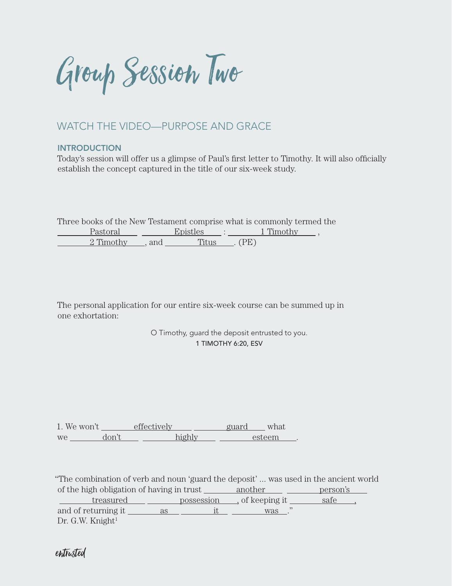Group Session Two

### WATCH THE VIDEO—PURPOSE AND GRACE

### **INTRODUCTION**

Today's session will offer us a glimpse of Paul's first letter to Timothy. It will also officially establish the concept captured in the title of our six-week study.

Three books of the New Testament comprise what is commonly termed the

| Pastoral  |     | Enistles |      | 1 Timothy |  |
|-----------|-----|----------|------|-----------|--|
| 2 Timothy | and | 111110   | (PF) |           |  |

The personal application for our entire six-week course can be summed up in one exhortation:

> O Timothy, guard the deposit entrusted to you. 1 TIMOTHY 6:20, ESV

1. We won't effectively guard what we don't highly steem .

"The combination of verb and noun 'guard the deposit' ... was used in the ancient world of the high obligation of having in trust another person's treasured possession, of keeping it safe ,

and of returning it as it was ."  $Dr. G.W.$  Knight $^1$ 

entrusted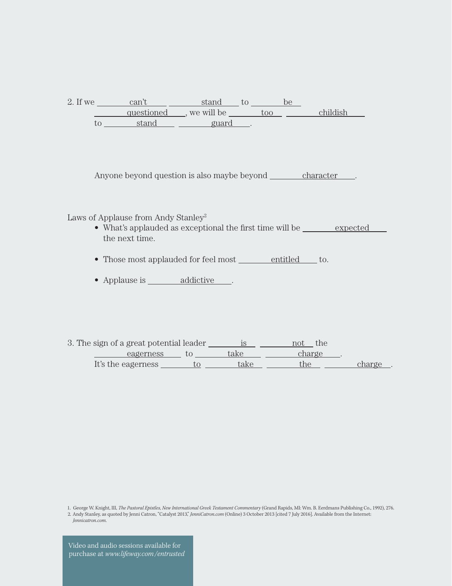| 2. If we | can't      | stand        |     |          |
|----------|------------|--------------|-----|----------|
|          | questioned | , we will be | too | childich |
| UU       | stand      | guard        |     |          |

Anyone beyond question is also maybe beyond <u>character</u>.

Laws of Applause from Andy Stanley<sup>2</sup>

- What's applauded as exceptional the first time will be expected the next time.
- Those most applauded for feel most <u>entitled</u> to.
- Applause is \_\_\_\_\_\_\_\_ addictive \_\_\_.

3. The sign of a great potential leader  $\frac{\text{is}}{\text{is}}$  not the eagerness to take charge. It's the eagerness  $\frac{t_0}{t_0}$  take  $\frac{t_0}{t_0}$  the charge.

1. George W. Knight, III, *The Pastoral Epistles, New International Greek Testament Commentary* (Grand Rapids, MI: Wm. B. Eerdmans Publishing Co., 1992), 276.

2. Andy Stanley, as quoted by Jenni Catron, "Catalyst 2013," *JenniCatron.com* (Online) 3 October 2013 [cited 7 July 2016]. Available from the Internet: *Jennicatron.com*.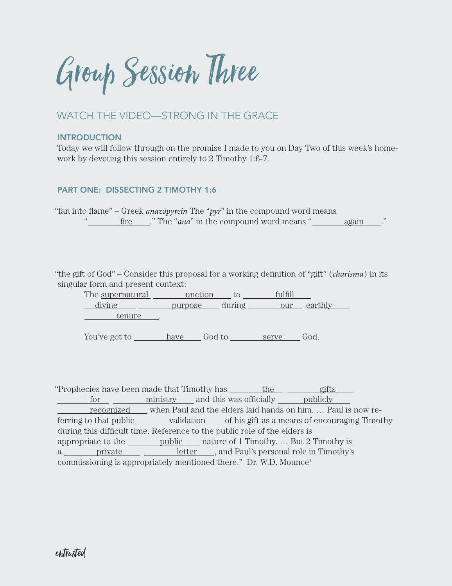Group Session Three

## WATCH THE VIDEO—STRONG IN THE GRACE

#### INTRODUCTION

Today we will follow through on the promise I made to you on Day Two of this week's homework by devoting this session entirely to 2 Timothy 1:6-7.

### PART ONE: DISSECTING 2 TIMOTHY 1:6

"fan into flame" – Greek *anazōpyrein* The "*pyr*" in the compound word means " fire ..." The "*ana*" in the compound word means " again

"the gift of God" – Consider this proposal for a working definition of "gift" (*charisma*) in its singular form and present context:

The supernatural unction to fulfill divine <u>purpose</u> during our earthly tenure .

You've got to <u>have</u> God to <u>serve</u> God.

"Prophecies have been made that Timothy has \_\_\_\_\_\_\_ the gifts for ministry and this was officially publicly recognized when Paul and the elders laid hands on him. … Paul is now referring to that public <u>validation</u> of his gift as a means of encouraging Timothy during this difficult time. Reference to the public role of the elders is appropriate to the <u>public</u> nature of 1 Timothy. ... But 2 Timothy is a <u>private</u> private letter, and Paul's personal role in Timothy's commissioning is appropriately mentioned there." Dr. W.D. Mounce1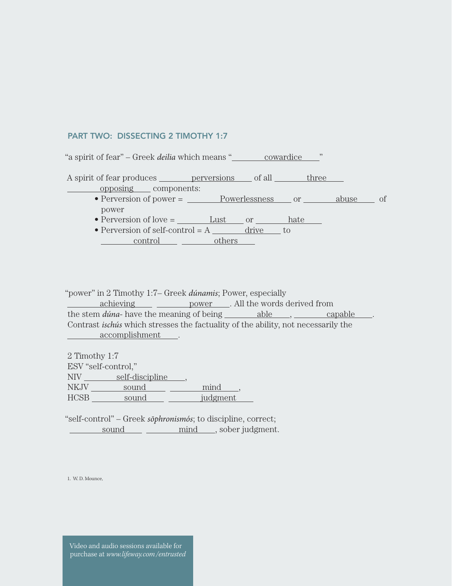#### PART TWO: DISSECTING 2 TIMOTHY 1:7

| "a spirit of fear" – Greek <i>deilia</i> which means "__________ cowardice |  | , 22 |    |
|----------------------------------------------------------------------------|--|------|----|
| A spirit of fear produces <u>entitled</u> perversions of all three         |  |      |    |
| opposing components:                                                       |  |      | Οf |
| power                                                                      |  |      |    |
| • Perversion of love $=$ Lust or hate                                      |  |      |    |
| • Perversion of self-control = $A$ $\overline{a}$ drive to                 |  |      |    |
| control others                                                             |  |      |    |
|                                                                            |  |      |    |

"power" in 2 Timothy 1:7– Greek *dúnamis*; Power, especially

achieving power . All the words derived from the stem *dúna*- have the meaning of being able , capable . Contrast *ischús* which stresses the factuality of the ability, not necessarily the accomplishment .

2 Timothy 1:7 ESV "self-control," NIV self-discipline, NKJV sound mind, HCSB sound judgment

"self-control" – Greek *sōphronismós*; to discipline, correct; sound mind, sober judgment.

1. W. D. Mounce,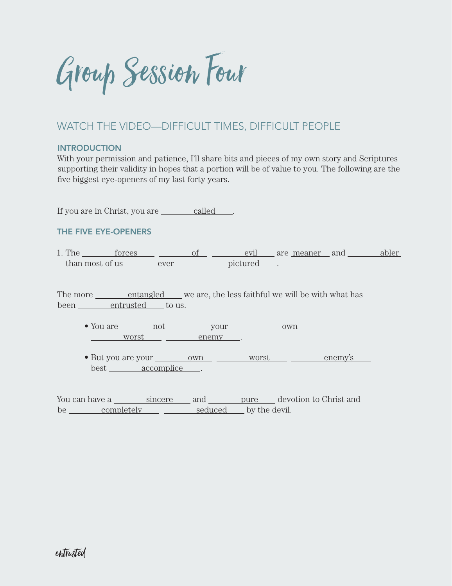Group Session Four

## WATCH THE VIDEO—DIFFICULT TIMES, DIFFICULT PEOPLE

#### INTRODUCTION

With your permission and patience, I'll share bits and pieces of my own story and Scriptures supporting their validity in hopes that a portion will be of value to you. The following are the five biggest eye-openers of my last forty years.

If you are in Christ, you are called .

### THE FIVE EYE-OPENERS

1. The forces of of evil are meaner and abler than most of us ever ever pictured.

The more <u>entangled</u> we are, the less faithful we will be with what has been entrusted to us.

• You are <u>not your your own</u> worst enemy .

• But you are your <u>own own worst enemy's</u> best accomplice .

You can have a sincere and pure devotion to Christ and be <u>completely</u> seduced by the devil.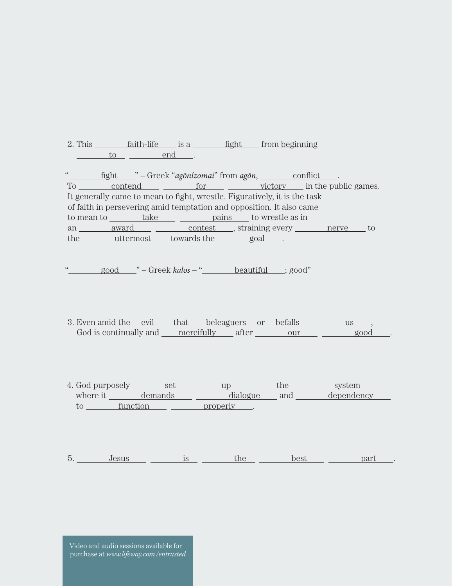2. This  $f$  faith-life is a fight from beginning  $\frac{\text{to}}{\text{to}}$   $\frac{\text{end}}{\text{end}}$ .

"
<u>fight</u> " – Greek "agōnízomai" from agōn, conflict ... To contend for victory in the public games. It generally came to mean to fight, wrestle. Figuratively, it is the task of faith in persevering amid temptation and opposition. It also came to mean to <u>take pains</u> to wrestle as in an <u>award</u> <u>contest</u>, straining every nerve to the uttermost towards the goal.

" good " – Greek kalos – " <u>beautiful</u> ; good"

- 3. Even amid the <u>evil</u> that beleaguers or befalls us us, God is continually and <u>mercifully</u> after our good
- 4. God purposely <u>set set up the system</u> where it demands dialogue and dependency to function properly .

5. Jesus is the best part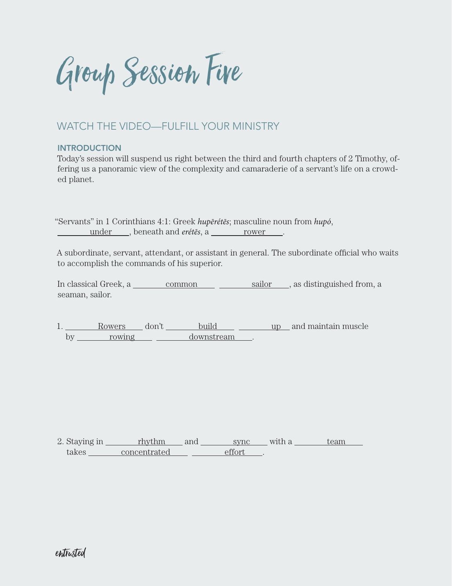Group Session Five

## WATCH THE VIDEO—FULFILL YOUR MINISTRY

### **INTRODUCTION**

Today's session will suspend us right between the third and fourth chapters of 2 Timothy, offering us a panoramic view of the complexity and camaraderie of a servant's life on a crowded planet.

"Servants" in 1 Corinthians 4:1: Greek *hupērétēs*; masculine noun from *hupó*, under , beneath and *erétes*, a rower .

A subordinate, servant, attendant, or assistant in general. The subordinate official who waits to accomplish the commands of his superior.

In classical Greek, a <u>common gailor</u>, as distinguished from, a seaman, sailor.

1. Rowers don't build up and maintain muscle by rowing downstream .

2. Staying in <u>rhythm</u> and <u>sync</u> with a team takes <u>concentrated</u> effort .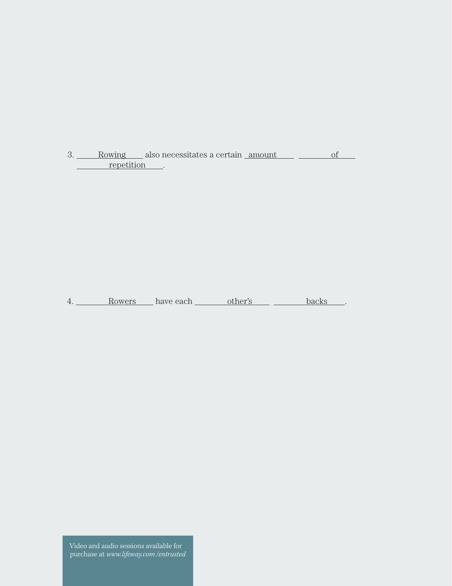3. Rowing also necessitates a certain <u>amount of</u> of repetition .

4. Rowers have each other's backs .

Video and audio sessions available for purchase at *www.lifeway.com/entrusted*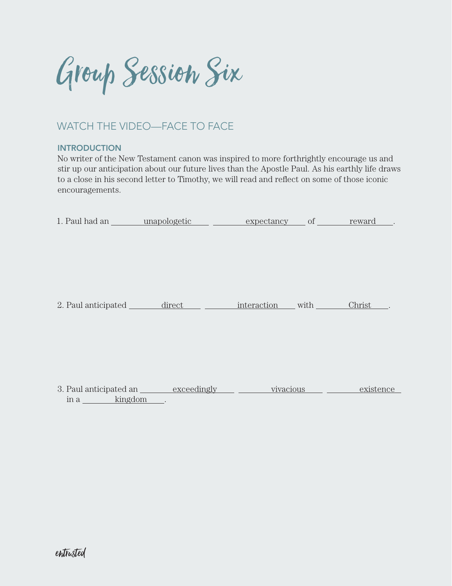Group Session Six

# WATCH THE VIDEO—FACE TO FACE

### **INTRODUCTION**

No writer of the New Testament canon was inspired to more forthrightly encourage us and stir up our anticipation about our future lives than the Apostle Paul. As his earthly life draws to a close in his second letter to Timothy, we will read and reflect on some of those iconic encouragements.

|                 | 1. Paul had an <u>unapologetic</u> expectancy of reward |           |           |
|-----------------|---------------------------------------------------------|-----------|-----------|
|                 |                                                         |           |           |
|                 |                                                         |           |           |
|                 |                                                         |           |           |
|                 |                                                         |           |           |
|                 |                                                         |           |           |
|                 | 2. Paul anticipated <u>direct interaction</u> with      |           | Christ    |
|                 |                                                         |           |           |
|                 |                                                         |           |           |
|                 |                                                         |           |           |
|                 |                                                         |           |           |
|                 |                                                         |           |           |
|                 | 3. Paul anticipated an <u>exceedingly</u>               | vivacious | existence |
| kingdom<br>in a |                                                         |           |           |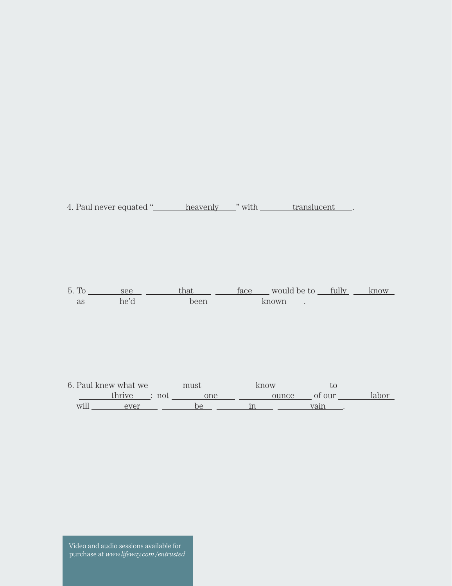4. Paul never equated "
<u>heavenly</u> " with translucent ...

5. To <u>see see that face</u> would be to <u>fully know</u> as <u>he'd been known</u>.

6. Paul knew what we  $\frac{\text{must}}{\text{must}}$   $\frac{\text{know}}{\text{now}}$   $\frac{\text{to}}{\text{to}}$ thrive : not <u>one</u> <u>ounce</u> of our labor will <u>ever</u> be in vain vain.

Video and audio sessions available for purchase at *www.lifeway.com/entrusted*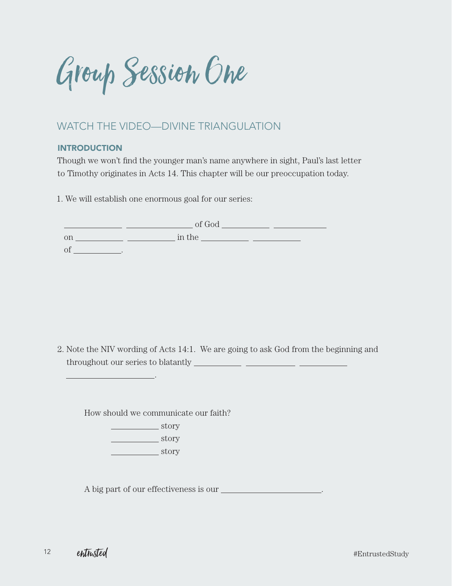Group Session One

## WATCH THE VIDEO—DIVINE TRIANGULATION

### **INTRODUCTION**

Though we won't find the younger man's name anywhere in sight, Paul's last letter to Timothy originates in Acts 14. This chapter will be our preoccupation today.

1. We will establish one enormous goal for our series:

|          | of God |  |
|----------|--------|--|
| on       | in the |  |
| $\smile$ |        |  |

2. Note the NIV wording of Acts 14:1. We are going to ask God from the beginning and throughout our series to blatantly

How should we communicate our faith?

story **story** story

.

A big part of our effectiveness is our .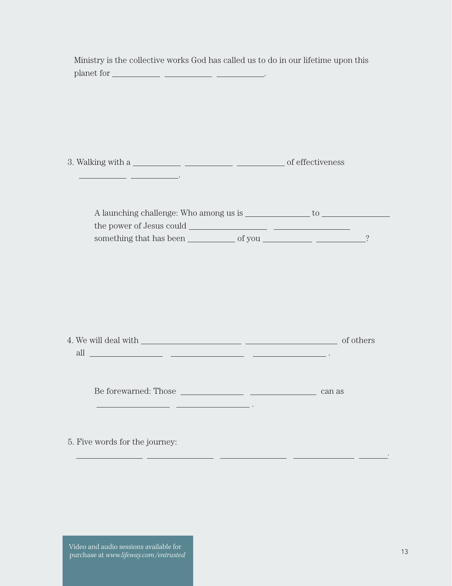| Ministry is the collective works God has called us to do in our lifetime upon this                     |        |
|--------------------------------------------------------------------------------------------------------|--------|
|                                                                                                        |        |
|                                                                                                        |        |
|                                                                                                        |        |
|                                                                                                        |        |
|                                                                                                        |        |
|                                                                                                        |        |
|                                                                                                        |        |
|                                                                                                        |        |
|                                                                                                        |        |
|                                                                                                        |        |
|                                                                                                        |        |
|                                                                                                        |        |
| all $\overline{\phantom{a}}$ . The contract of $\overline{\phantom{a}}$ and $\overline{\phantom{a}}$ . |        |
|                                                                                                        |        |
| Be forewarned: Those                                                                                   | can as |
|                                                                                                        |        |
|                                                                                                        |        |
| 5. Five words for the journey:                                                                         |        |
|                                                                                                        |        |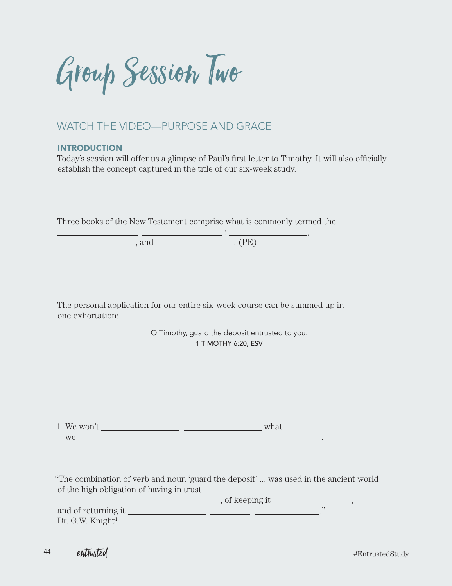Group Session Two

### WATCH THE VIDEO—PURPOSE AND GRACE

#### **INTRODUCTION**

Today's session will offer us a glimpse of Paul's first letter to Timothy. It will also officially establish the concept captured in the title of our six-week study.

Three books of the New Testament comprise what is commonly termed the

 $\frac{1}{1}$  ,  $\frac{1}{1}$  ,  $\frac{1}{1}$  ,  $\frac{1}{1}$  ,  $\frac{1}{1}$  ,  $\frac{1}{1}$  ,  $\frac{1}{1}$  ,  $\frac{1}{1}$  ,  $\frac{1}{1}$  ,  $\frac{1}{1}$  ,  $\frac{1}{1}$  ,  $\frac{1}{1}$  ,  $\frac{1}{1}$  ,  $\frac{1}{1}$  ,  $\frac{1}{1}$  ,  $\frac{1}{1}$  ,  $\frac{1}{1}$  ,  $\frac{1}{1}$  ,  $\frac{1$ , and . (PE)

The personal application for our entire six-week course can be summed up in one exhortation:

> O Timothy, guard the deposit entrusted to you. 1 TIMOTHY 6:20, ESV

1. We won't  $\frac{1}{\sqrt{1-\frac{1}{\sqrt{1-\frac{1}{\sqrt{1-\frac{1}{\sqrt{1-\frac{1}{\sqrt{1-\frac{1}{\sqrt{1-\frac{1}{\sqrt{1-\frac{1}{\sqrt{1-\frac{1}{\sqrt{1-\frac{1}{\sqrt{1-\frac{1}{\sqrt{1-\frac{1}{\sqrt{1-\frac{1}{\sqrt{1-\frac{1}{\sqrt{1-\frac{1}{\sqrt{1-\frac{1}{\sqrt{1-\frac{1}{\sqrt{1-\frac{1}{\sqrt{1-\frac{1}{\sqrt{1-\frac{1}{\sqrt{1-\frac{1}{\sqrt{1-\frac{1}{\sqrt{1-\frac{1}{\sqrt{1-\$ we .

"The combination of verb and noun 'guard the deposit' ... was used in the ancient world of the high obligation of having in trust

 $\frac{1}{\sqrt{2\pi}}$ , of keeping it  $\frac{1}{\sqrt{2\pi}}$ , and of returning it  $\qquad \qquad$  $Dr. G.W.$  Knight $^1$ 

<sup>44</sup> entrusted

#EntrustedStudy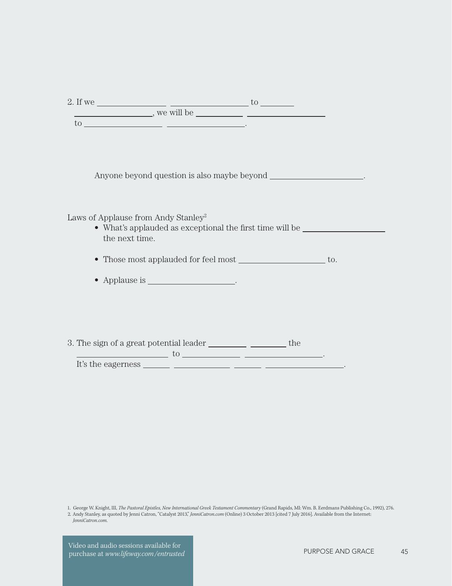| 2. If we |            |  |
|----------|------------|--|
|          | we will be |  |
| -UC      |            |  |

Anyone beyond question is also maybe beyond \_\_\_\_\_\_\_\_\_\_\_\_\_\_\_\_\_\_\_.

Laws of Applause from Andy Stanley<sup>2</sup>

- What's applauded as exceptional the first time will be the next time.
- Those most applauded for feel most \_\_\_\_\_\_\_\_\_\_\_\_\_\_\_\_\_\_ to.
- Applause is \_\_\_\_\_\_\_\_\_\_\_\_\_\_\_\_\_\_\_.
- 3. The sign of a great potential leader \_\_\_\_\_\_\_\_\_\_\_\_\_\_\_\_\_\_\_\_\_\_\_\_ the

 $\frac{1}{10}$  to  $\frac{1}{10}$  . The set of  $\frac{1}{10}$  is  $\frac{1}{10}$  if  $\frac{1}{10}$  is  $\frac{1}{10}$  if  $\frac{1}{10}$  is  $\frac{1}{10}$  if  $\frac{1}{10}$  if  $\frac{1}{10}$  if  $\frac{1}{10}$  if  $\frac{1}{10}$  if  $\frac{1}{10}$  if  $\frac{1}{10}$  if  $\frac{1}{10}$  if It's the eagerness .

1. George W. Knight, III, *The Pastoral Epistles, New International Greek Testament Commentary* (Grand Rapids, MI: Wm. B. Eerdmans Publishing Co., 1992), 276.

2. Andy Stanley, as quoted by Jenni Catron, "Catalyst 2013," *JenniCatron.com* (Online) 3 October 2013 [cited 7 July 2016]. Available from the Internet: *JenniCatron.com*.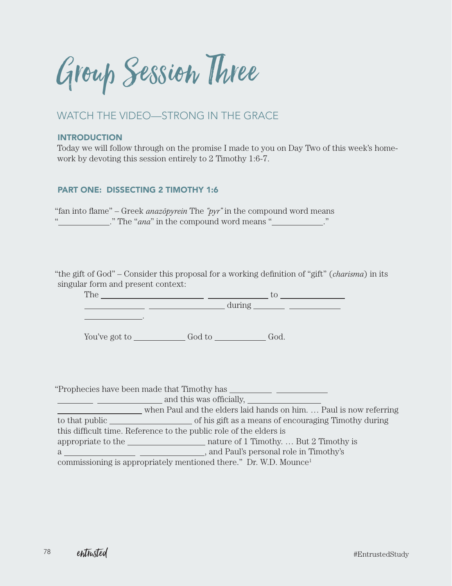Group Session Three

## WATCH THE VIDEO—STRONG IN THE GRACE

#### INTRODUCTION

Today we will follow through on the promise I made to you on Day Two of this week's homework by devoting this session entirely to 2 Timothy 1:6-7.

#### PART ONE: DISSECTING 2 TIMOTHY 1:6

"fan into flame" – Greek *anazopyrein* The " $pyr$ " in the compound word means " The "*ana*" in the compound word means "

"the gift of God" – Consider this proposal for a working definition of "gift" (*charisma*) in its singular form and present context:

The  $\qquad \qquad$  to to the total method  $\qquad$ during

You've got to God to God.

"Prophecies have been made that Timothy has

.

and this was officially,

 when Paul and the elders laid hands on him. … Paul is now referring to that public set of his gift as a means of encouraging Timothy during this difficult time. Reference to the public role of the elders is appropriate to the nature of 1 Timothy. ... But 2 Timothy is a  $\overline{a}$  , and Paul's personal role in Timothy's commissioning is appropriately mentioned there." Dr. W.D. Mounce1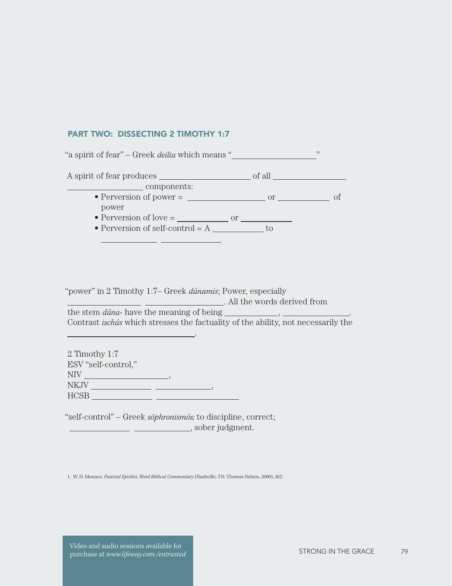#### PART TWO: DISSECTING 2 TIMOTHY 1:7

 $\mathbb{Z}^{\mathbb{Z}}$ 

"a spirit of fear" – Greek *deilia* which means " " A spirit of fear produces of all of  $\frac{1}{2}$  of all  $\frac{1}{2}$ components: • Perversion of power =  $\frac{1}{\sqrt{1-\frac{1}{n}}}$  or  $\frac{1}{\sqrt{1-\frac{1}{n}}}$  of power • Perversion of love  $=$   $\qquad \qquad$  or  $\qquad \qquad$ • Perversion of self-control  $= A \_$  $\overline{a}$ 

"power" in 2 Timothy 1:7– Greek *dúnamis*; Power, especially

. All the words derived from

the stem *dúna*- have the meaning of being , . Contrast *ischús* which stresses the factuality of the ability, not necessarily the

2 Timothy 1:7 ESV "self-control,"  $NIV$  , we have a set of  $NIN$  $\begin{tabular}{c} \multicolumn{2}{c} {\textbf{N}KJV} \end{tabular} \begin{tabular}{c} \multicolumn{2}{c} {\textbf{N}KJV} \end{tabular} \begin{tabular}{c} \multicolumn{2}{c} {\textbf{N}KJV} \end{tabular} \begin{tabular}{c} \multicolumn{2}{c} {\textbf{N}KJV} \end{tabular} \begin{tabular}{c} \multicolumn{2}{c} {\textbf{N}KJV} \end{tabular} \end{tabular} \begin{tabular}{c} \multicolumn{2}{c} {\textbf{N}KJV} \end{tabular} \begin{tabular}{c} \multicolumn{2}{c} {\textbf{N$ HCSB

.

"self-control" – Greek *sophronismós*; to discipline, correct; **CONSUMER THE CONSUMER SOF SOBER Judgment.** 

1. W. D. Mounce, *Pastoral Epistles, Word Biblical Commentary* (Nashville, TN: Thomas Nelson, 2000), 262.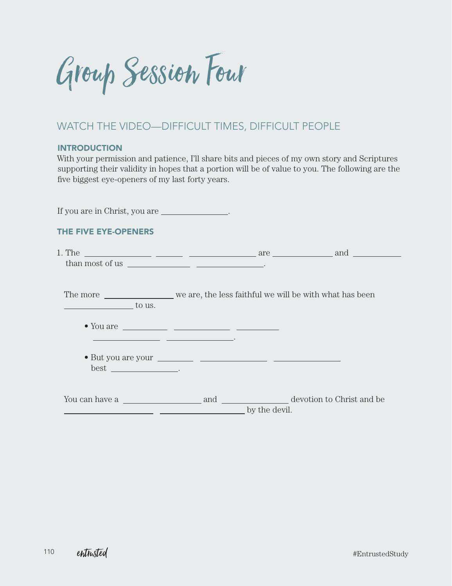Group Session Four

### WATCH THE VIDEO—DIFFICULT TIMES, DIFFICULT PEOPLE

### **INTRODUCTION**

With your permission and patience, I'll share bits and pieces of my own story and Scriptures supporting their validity in hopes that a portion will be of value to you. The following are the five biggest eye-openers of my last forty years.

| If you are in Christ, you are _______________.                                                                                                                                                                                                                                                                                                                                                                          |               |  |
|-------------------------------------------------------------------------------------------------------------------------------------------------------------------------------------------------------------------------------------------------------------------------------------------------------------------------------------------------------------------------------------------------------------------------|---------------|--|
| THE FIVE EYE-OPENERS                                                                                                                                                                                                                                                                                                                                                                                                    |               |  |
|                                                                                                                                                                                                                                                                                                                                                                                                                         |               |  |
| $\sim$ to us.                                                                                                                                                                                                                                                                                                                                                                                                           |               |  |
| • You are $\frac{1}{\sqrt{1-\frac{1}{2}}}\frac{1}{\sqrt{1-\frac{1}{2}}}\frac{1}{\sqrt{1-\frac{1}{2}}}\frac{1}{\sqrt{1-\frac{1}{2}}}\frac{1}{\sqrt{1-\frac{1}{2}}}\frac{1}{\sqrt{1-\frac{1}{2}}}\frac{1}{\sqrt{1-\frac{1}{2}}}\frac{1}{\sqrt{1-\frac{1}{2}}}\frac{1}{\sqrt{1-\frac{1}{2}}}\frac{1}{\sqrt{1-\frac{1}{2}}}\frac{1}{\sqrt{1-\frac{1}{2}}}\frac{1}{\sqrt{1-\frac{1}{2}}}\frac{1}{\sqrt{1-\frac{1}{2}}}\frac$ |               |  |
| $best$ __________________.                                                                                                                                                                                                                                                                                                                                                                                              |               |  |
| You can have a metal and and devotion to Christ and be devotion to Christ and be                                                                                                                                                                                                                                                                                                                                        | by the devil. |  |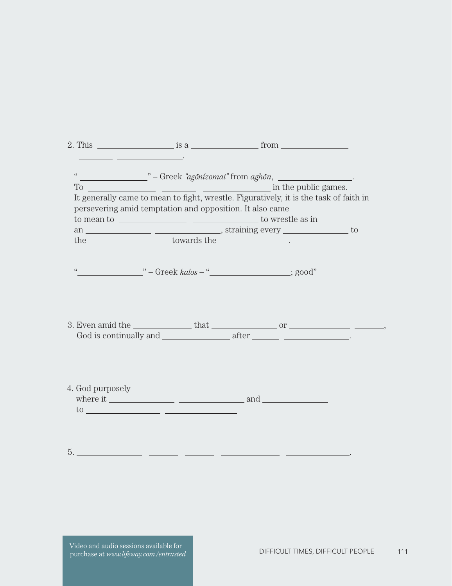|                                                                                                                                                                                                                                | 2. This $\frac{1}{2}$ is a $\frac{1}{2}$ from $\frac{1}{2}$                                                                                                                                                                                                                                                                                                                                                                                        |  |
|--------------------------------------------------------------------------------------------------------------------------------------------------------------------------------------------------------------------------------|----------------------------------------------------------------------------------------------------------------------------------------------------------------------------------------------------------------------------------------------------------------------------------------------------------------------------------------------------------------------------------------------------------------------------------------------------|--|
|                                                                                                                                                                                                                                | <u> 1989 - Johann John Stone, politik eta politik eta politik eta politik eta politik eta politik eta politik e</u>                                                                                                                                                                                                                                                                                                                                |  |
|                                                                                                                                                                                                                                | " _________________ " - Greek "agōnizomai" from aghōn, ____________________.                                                                                                                                                                                                                                                                                                                                                                       |  |
| To the set of the set of the set of the set of the set of the set of the set of the set of the set of the set of the set of the set of the set of the set of the set of the set of the set of the set of the set of the set of | in the public games.                                                                                                                                                                                                                                                                                                                                                                                                                               |  |
|                                                                                                                                                                                                                                | It generally came to mean to fight, wrestle. Figuratively, it is the task of faith in<br>persevering amid temptation and opposition. It also came                                                                                                                                                                                                                                                                                                  |  |
|                                                                                                                                                                                                                                | to mean to $\_\_\_\_\_\_\_\_\_\_\_\_\_\_\_\_\_\_\_\_\_\_\_\_\_\_\_\_\_\_$                                                                                                                                                                                                                                                                                                                                                                          |  |
|                                                                                                                                                                                                                                |                                                                                                                                                                                                                                                                                                                                                                                                                                                    |  |
|                                                                                                                                                                                                                                | $\begin{minipage}{.4\linewidth} the \begin{tabular}{l} \hline \textbf{1} & \textbf{1} & \textbf{1} & \textbf{1} & \textbf{1} & \textbf{1} & \textbf{1} \\ \hline \textbf{2} & \textbf{3} & \textbf{1} & \textbf{1} & \textbf{1} & \textbf{1} & \textbf{1} & \textbf{1} \\ \hline \textbf{3} & \textbf{1} & \textbf{1} & \textbf{1} & \textbf{1} & \textbf{1} & \textbf{1} & \textbf{1} & \textbf{1} \\ \hline \textbf{4} & \textbf{1} & \textbf{1$ |  |
|                                                                                                                                                                                                                                |                                                                                                                                                                                                                                                                                                                                                                                                                                                    |  |
|                                                                                                                                                                                                                                | " —————————————————————————————; good"                                                                                                                                                                                                                                                                                                                                                                                                             |  |
|                                                                                                                                                                                                                                |                                                                                                                                                                                                                                                                                                                                                                                                                                                    |  |
|                                                                                                                                                                                                                                |                                                                                                                                                                                                                                                                                                                                                                                                                                                    |  |
|                                                                                                                                                                                                                                |                                                                                                                                                                                                                                                                                                                                                                                                                                                    |  |
|                                                                                                                                                                                                                                |                                                                                                                                                                                                                                                                                                                                                                                                                                                    |  |
|                                                                                                                                                                                                                                |                                                                                                                                                                                                                                                                                                                                                                                                                                                    |  |
|                                                                                                                                                                                                                                |                                                                                                                                                                                                                                                                                                                                                                                                                                                    |  |
|                                                                                                                                                                                                                                |                                                                                                                                                                                                                                                                                                                                                                                                                                                    |  |
|                                                                                                                                                                                                                                |                                                                                                                                                                                                                                                                                                                                                                                                                                                    |  |
|                                                                                                                                                                                                                                |                                                                                                                                                                                                                                                                                                                                                                                                                                                    |  |
|                                                                                                                                                                                                                                | where it $\frac{1}{\sqrt{1-\frac{1}{2}}}\frac{1}{\sqrt{1-\frac{1}{2}}}\frac{1}{\sqrt{1-\frac{1}{2}}}\frac{1}{\sqrt{1-\frac{1}{2}}}\frac{1}{\sqrt{1-\frac{1}{2}}}\frac{1}{\sqrt{1-\frac{1}{2}}}\frac{1}{\sqrt{1-\frac{1}{2}}}\frac{1}{\sqrt{1-\frac{1}{2}}}\frac{1}{\sqrt{1-\frac{1}{2}}}\frac{1}{\sqrt{1-\frac{1}{2}}}\frac{1}{\sqrt{1-\frac{1}{2}}}\frac{1}{\sqrt{1-\frac{1}{2}}}\frac{1}{\sqrt{1-\frac{1}{2}}}\frac{$                            |  |
|                                                                                                                                                                                                                                | $\frac{10}{2}$                                                                                                                                                                                                                                                                                                                                                                                                                                     |  |
|                                                                                                                                                                                                                                |                                                                                                                                                                                                                                                                                                                                                                                                                                                    |  |
|                                                                                                                                                                                                                                |                                                                                                                                                                                                                                                                                                                                                                                                                                                    |  |
|                                                                                                                                                                                                                                |                                                                                                                                                                                                                                                                                                                                                                                                                                                    |  |
| 5.                                                                                                                                                                                                                             |                                                                                                                                                                                                                                                                                                                                                                                                                                                    |  |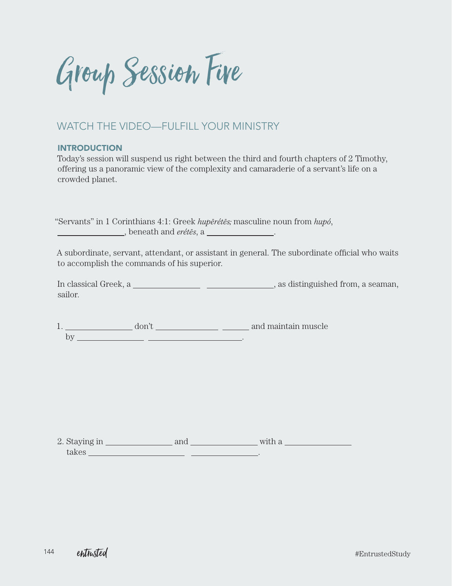Group Session Five

## WATCH THE VIDEO—FULFILL YOUR MINISTRY

#### INTRODUCTION

Today's session will suspend us right between the third and fourth chapters of 2 Timothy, offering us a panoramic view of the complexity and camaraderie of a servant's life on a crowded planet.

"Servants" in 1 Corinthians 4:1: Greek *hupērétēs*; masculine noun from *hupó*, , beneath and *erétẽs*, a <u>substance of the set</u>.

A subordinate, servant, attendant, or assistant in general. The subordinate official who waits to accomplish the commands of his superior.

In classical Greek, a , as distinguished from, a seaman, sailor.

1. don't and maintain muscle by .

2. Staying in  $\frac{\ }{\ }$  and  $\frac{\ }{\ }$  and  $\frac{\ }{\ }$  with a takes .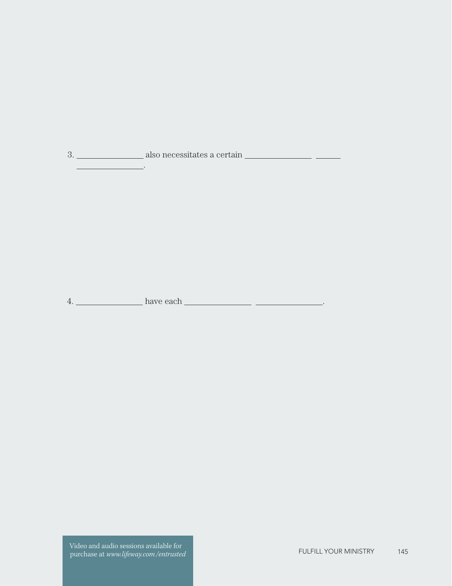3. also necessitates a certain .

4. have each .

Video and audio sessions available for purchase at *www.lifeway.com*/entrusted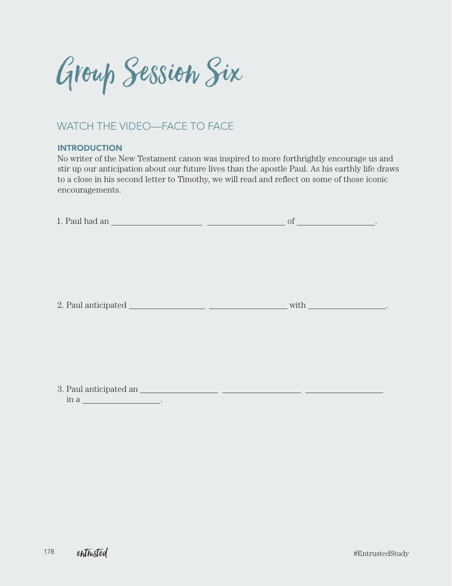Group Session Six

# WATCH THE VIDEO—FACE TO FACE

### **INTRODUCTION**

No writer of the New Testament canon was inspired to more forthrightly encourage us and stir up our anticipation about our future lives than the apostle Paul. As his earthly life draws to a close in his second letter to Timothy, we will read and reflect on some of those iconic encouragements.

| in a<br><u> 1990 - Johann Barbara, politik eta politik eta politik eta politik eta politik eta politik eta politik eta p</u> |  |
|------------------------------------------------------------------------------------------------------------------------------|--|